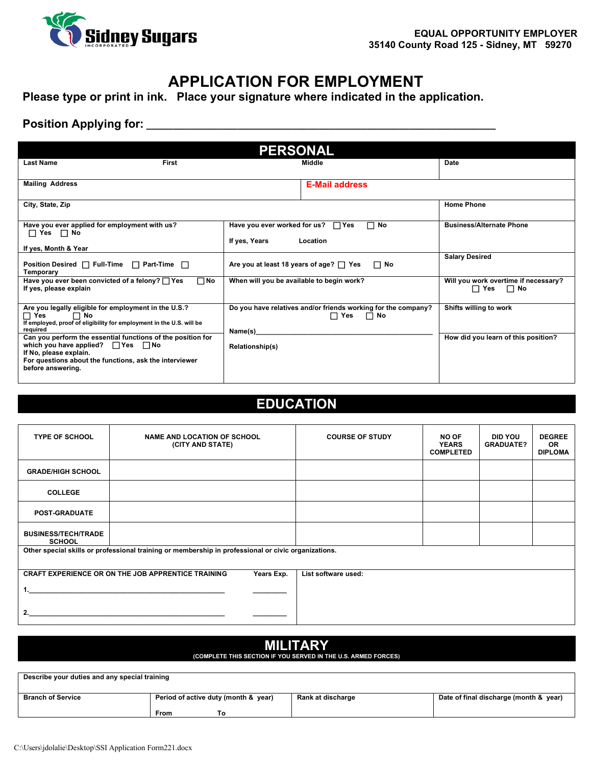

## **APPLICATION FOR EMPLOYMENT**

**Please type or print in ink. Place your signature where indicated in the application.**

#### **Position Applying for: \_\_\_\_\_\_\_\_\_\_\_\_\_\_\_\_\_\_\_\_\_\_\_\_\_\_\_\_\_\_\_\_\_\_\_\_\_\_\_\_\_\_\_\_\_\_\_\_\_\_\_\_\_\_\_\_\_\_\_\_\_\_\_\_\_**

| <b>PERSONAL</b>                                                                                                                                                                                                      |                                                                                                     |                                                              |  |
|----------------------------------------------------------------------------------------------------------------------------------------------------------------------------------------------------------------------|-----------------------------------------------------------------------------------------------------|--------------------------------------------------------------|--|
| <b>Last Name</b><br><b>First</b>                                                                                                                                                                                     | Middle                                                                                              | Date                                                         |  |
| <b>Mailing Address</b>                                                                                                                                                                                               | <b>E-Mail address</b>                                                                               |                                                              |  |
| City, State, Zip                                                                                                                                                                                                     |                                                                                                     | <b>Home Phone</b>                                            |  |
| Have you ever applied for employment with us?<br>$\Box$ Yes $\Box$ No<br>If yes, Month & Year                                                                                                                        | $\Box$ No<br>Have you ever worked for us?<br>$\Box$ Yes<br>If yes, Years<br>Location                | <b>Business/Alternate Phone</b>                              |  |
| Position Desired $\Box$ Full-Time $\Box$ Part-Time $\Box$<br>Temporary                                                                                                                                               | Are you at least 18 years of age? $\Box$ Yes<br>$\Box$ No                                           | <b>Salary Desired</b>                                        |  |
| Have you ever been convicted of a felony? ∏ Yes<br>$\square$ No<br>If yes, please explain                                                                                                                            | When will you be available to begin work?                                                           | Will you work overtime if necessary?<br>$\Box$ Yes $\Box$ No |  |
| Are you legally eligible for employment in the U.S.?<br><b>⊟ Yes</b><br>$\Box$ No<br>If employed, proof of eligibility for employment in the U.S. will be<br>required                                                | Do you have relatives and/or friends working for the company?<br>$\Box$ Yes<br>$\Box$ No<br>Name(s) | Shifts willing to work                                       |  |
| Can you perform the essential functions of the position for<br>which you have applied? $\Box$ Yes $\Box$ No<br>If No, please explain.<br>For questions about the functions, ask the interviewer<br>before answering. | <b>Relationship(s)</b>                                                                              | How did you learn of this position?                          |  |

### **EDUCATION**

| <b>TYPE OF SCHOOL</b>                                                                               | <b>NAME AND LOCATION OF SCHOOL</b><br>(CITY AND STATE)                  | <b>COURSE OF STUDY</b> | <b>NO OF</b><br><b>YEARS</b><br><b>COMPLETED</b> | <b>DID YOU</b><br><b>GRADUATE?</b> | <b>DEGREE</b><br><b>OR</b><br><b>DIPLOMA</b> |
|-----------------------------------------------------------------------------------------------------|-------------------------------------------------------------------------|------------------------|--------------------------------------------------|------------------------------------|----------------------------------------------|
| <b>GRADE/HIGH SCHOOL</b>                                                                            |                                                                         |                        |                                                  |                                    |                                              |
| <b>COLLEGE</b>                                                                                      |                                                                         |                        |                                                  |                                    |                                              |
| <b>POST-GRADUATE</b>                                                                                |                                                                         |                        |                                                  |                                    |                                              |
| <b>BUSINESS/TECH/TRADE</b><br><b>SCHOOL</b>                                                         |                                                                         |                        |                                                  |                                    |                                              |
| Other special skills or professional training or membership in professional or civic organizations. |                                                                         |                        |                                                  |                                    |                                              |
|                                                                                                     | <b>CRAFT EXPERIENCE OR ON THE JOB APPRENTICE TRAINING</b><br>Years Exp. | List software used:    |                                                  |                                    |                                              |
|                                                                                                     |                                                                         |                        |                                                  |                                    |                                              |
| 2.                                                                                                  |                                                                         |                        |                                                  |                                    |                                              |

# **MILITARY**

#### **(COMPLETE THIS SECTION IF YOU SERVED IN THE U.S. ARMED FORCES)**

| Describe your duties and any special training |                                      |                   |                                        |
|-----------------------------------------------|--------------------------------------|-------------------|----------------------------------------|
| <b>Branch of Service</b>                      | Period of active duty (month & year) | Rank at discharge | Date of final discharge (month & year) |
|                                               | From                                 |                   |                                        |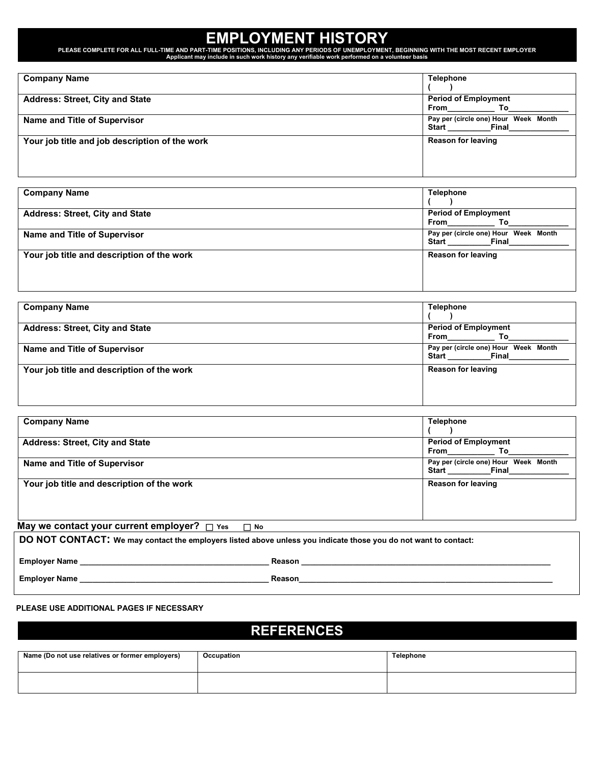# **EMPLOYMENT HISTORY**

PLEASE COMPLETE FOR ALL FULL-TIME AND PART-TIME POSITIONS, INCLUDING ANY PERIODS OF UNEMPLOYMENT, BEGINNING WITH THE MOST RECENT EMPLOYER<br>Applicant may include in such work history any verifiable work performed on a volunt

| <b>Company Name</b>                            | <b>Telephone</b>                                              |
|------------------------------------------------|---------------------------------------------------------------|
| <b>Address: Street, City and State</b>         | <b>Period of Employment</b><br>From<br>To                     |
| Name and Title of Supervisor                   | Pay per (circle one) Hour Week Month<br><b>Start</b><br>Final |
| Your job title and job description of the work | <b>Reason for leaving</b>                                     |

| <b>Company Name</b>                        | <b>Telephone</b>                                              |
|--------------------------------------------|---------------------------------------------------------------|
| <b>Address: Street, City and State</b>     | <b>Period of Employment</b><br>From<br>To                     |
| Name and Title of Supervisor               | Pay per (circle one) Hour Week Month<br><b>Start</b><br>Final |
| Your job title and description of the work | <b>Reason for leaving</b>                                     |

| <b>Company Name</b>                        | <b>Telephone</b>                                       |
|--------------------------------------------|--------------------------------------------------------|
| <b>Address: Street, City and State</b>     | <b>Period of Employment</b><br>From<br>Тο              |
| Name and Title of Supervisor               | Pay per (circle one) Hour Week Month<br>Start<br>Final |
| Your job title and description of the work | <b>Reason for leaving</b>                              |

| <b>Company Name</b>                                      | <b>Telephone</b>                                       |
|----------------------------------------------------------|--------------------------------------------------------|
| <b>Address: Street, City and State</b>                   | <b>Period of Employment</b><br>From<br>Тο              |
| Name and Title of Supervisor                             | Pay per (circle one) Hour Week Month<br>Start<br>Final |
| Your job title and description of the work               | <b>Reason for leaving</b>                              |
| May we contact your current employer? $\Box$ Yes<br>No T |                                                        |

**DO NOT CONTACT: We may contact the employers listed above unless you indicate those you do not want to contact:**

 **Employer Name \_\_\_\_\_\_\_\_\_\_\_\_\_\_\_\_\_\_\_\_\_\_\_\_\_\_\_\_\_\_\_\_\_\_\_\_\_\_\_\_\_\_\_\_ Reason \_\_\_\_\_\_\_\_\_\_\_\_\_\_\_\_\_\_\_\_\_\_\_\_\_\_\_\_\_\_\_\_\_\_\_\_\_\_\_\_\_\_\_\_\_\_\_\_\_\_\_\_\_\_\_\_\_\_** 

**Employer Name \_\_\_\_\_\_\_\_\_\_\_\_\_\_\_\_\_\_\_\_\_\_\_\_\_\_\_\_\_\_\_\_\_\_\_\_\_\_\_\_\_\_\_\_ Reason\_\_\_\_\_\_\_\_\_\_\_\_\_\_\_\_\_\_\_\_\_\_\_\_\_\_\_\_\_\_\_\_\_\_\_\_\_\_\_\_\_\_\_\_\_\_\_\_\_\_\_\_\_\_\_\_\_\_\_**

#### **PLEASE USE ADDITIONAL PAGES IF NECESSARY**

## **REFERENCES**

| Name (Do not use relatives or former employers) | Occupation | <b>Telephone</b> |
|-------------------------------------------------|------------|------------------|
|                                                 |            |                  |